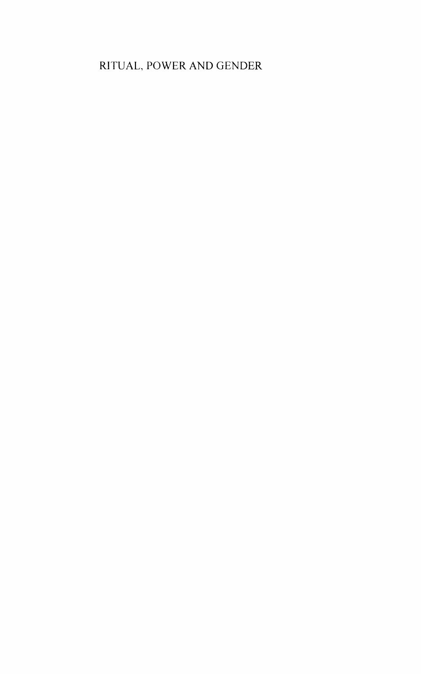#### RlTUAL, POWER AND GENDER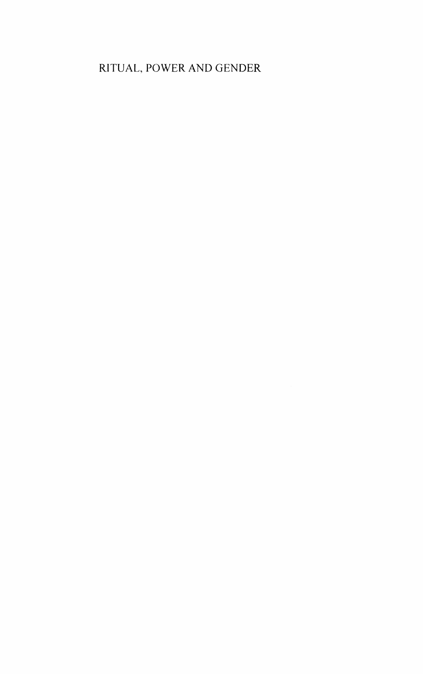#### RITUAL, POWER AND GENDER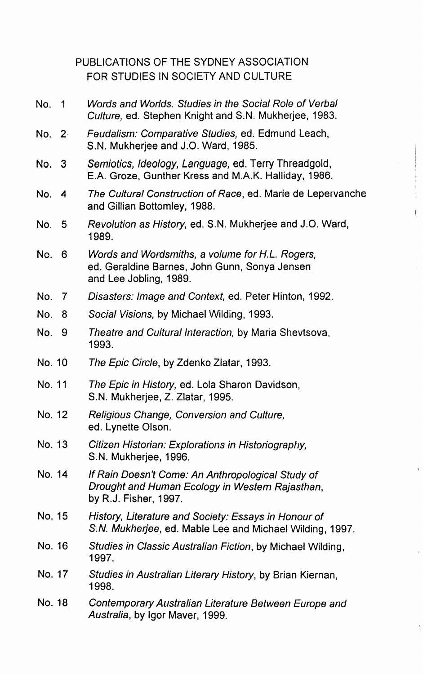|        |                         | PUBLICATIONS OF THE SYDNEY ASSOCIATION<br>FOR STUDIES IN SOCIETY AND CULTURE                                                 |
|--------|-------------------------|------------------------------------------------------------------------------------------------------------------------------|
| No.    | $\overline{\mathbf{1}}$ | Words and Worlds. Studies in the Social Role of Verbal<br>Culture, ed. Stephen Knight and S.N. Mukherjee, 1983.              |
| No. 2- |                         | Feudalism: Comparative Studies, ed. Edmund Leach,<br>S.N. Mukherjee and J.O. Ward, 1985.                                     |
| No. 3  |                         | Semiotics, Ideology, Language, ed. Terry Threadgold,<br>E.A. Groze, Gunther Kress and M.A.K. Halliday, 1986.                 |
| No.    | 4                       | The Cultural Construction of Race, ed. Marie de Lepervanche<br>and Gillian Bottomley, 1988.                                  |
| No. I  | 5                       | Revolution as History, ed. S.N. Mukherjee and J.O. Ward,<br>1989.                                                            |
| No.    | 6                       | Words and Wordsmiths, a volume for H.L. Rogers,<br>ed. Geraldine Barnes, John Gunn, Sonya Jensen<br>and Lee Jobling, 1989.   |
| No. 7  |                         | Disasters: Image and Context, ed. Peter Hinton, 1992.                                                                        |
| No.    | 8                       | Social Visions, by Michael Wilding, 1993.                                                                                    |
| No.    | 9                       | Theatre and Cultural Interaction, by Maria Shevtsova,<br>1993.                                                               |
| No. 10 |                         | The Epic Circle, by Zdenko Zlatar, 1993.                                                                                     |
| No. 11 |                         | The Epic in History, ed. Lola Sharon Davidson,<br>S.N. Mukherjee, Z. Zlatar, 1995.                                           |
| No. 12 |                         | Religious Change, Conversion and Culture,<br>ed. Lynette Olson.                                                              |
| No. 13 |                         | Citizen Historian: Explorations in Historiography,<br>S.N. Mukherjee, 1996.                                                  |
| No. 14 |                         | If Rain Doesn't Come: An Anthropological Study of<br>Drought and Human Ecology in Westem Rajasthan,<br>by R.J. Fisher, 1997. |
| No. 15 |                         | History, Literature and Society: Essays in Honour of<br>S.N. Mukherjee, ed. Mable Lee and Michael Wilding, 1997.             |
| No. 16 |                         | Studies in Classic Australian Fiction, by Michael Wilding,<br>1997.                                                          |
| No. 17 |                         | Studies in Australian Literary History, by Brian Kiernan,<br>1998.                                                           |
| No. 18 |                         | Contemporary Australian Literature Between Europe and<br>Australia, by Igor Maver, 1999.                                     |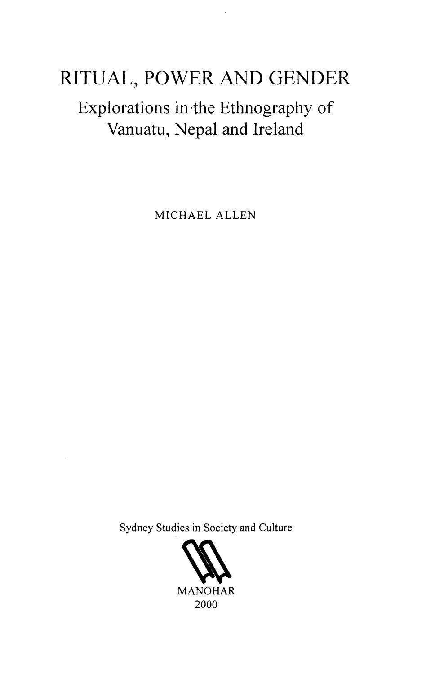# RITUAL, POWER AND GENDER

## Explorations in ·the Ethnography of Vanuatu, Nepal and Ireland

MICHAEL ALLEN

Sydney Studies in Society and Culture

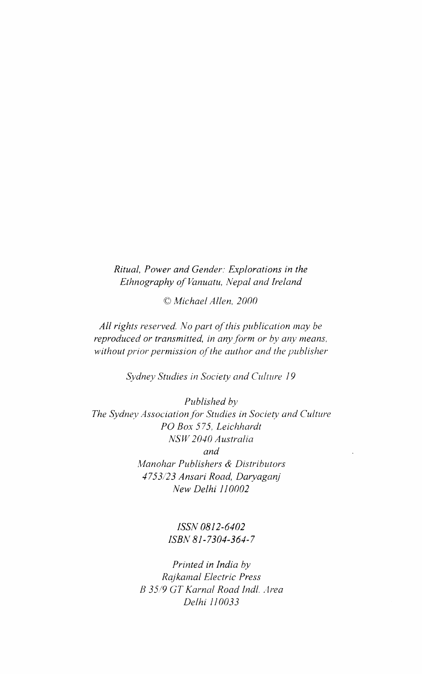*Ritual, Power and Gender: Explorations in the Ethnography of Vanuatu, Nepal and Ireland* 

*©Michael Allen, 2000* 

*All rights reserved. No part of this publication may be reproduced or transmitted, in any form or by any means, without prior permission of the author and the publisher* 

*Sydney Studies in Society and Culture 19* 

*Published by The Sydney Association for Studies in Society and Culture PO Box 575. Leichhardt NSW 2040 Australia and ,\1/anohar Publishers* & *Distributors 4753/23 Ansari Road, Daryaganj New Delhi 110002* 

> *ISSN 0812-6402 ISBN 81-7304-364-7*

*Printed in India by Rajkamal Electric Press 13 3519 GT Karnal Road 1ndl .. Jrea Delhi 110033*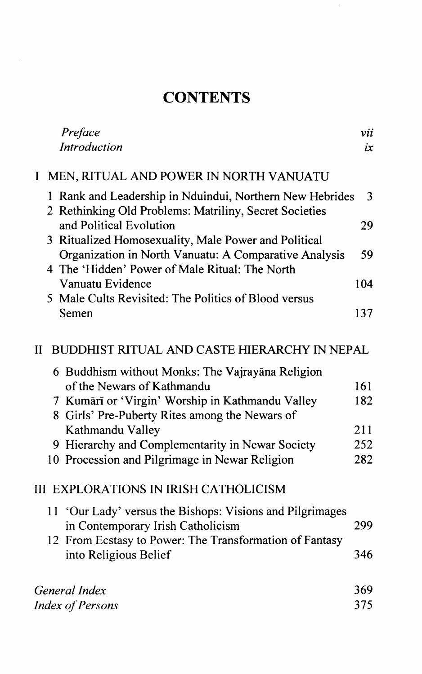### **CONTENTS**

|                                                                     | Preface                                                                                                               | vii |
|---------------------------------------------------------------------|-----------------------------------------------------------------------------------------------------------------------|-----|
|                                                                     | Introduction                                                                                                          | ix  |
| Ι                                                                   | MEN, RITUAL AND POWER IN NORTH VANUATU                                                                                |     |
|                                                                     | Rank and Leadership in Nduindui, Northern New Hebrides<br>1<br>2 Rethinking Old Problems: Matriliny, Secret Societies | 3   |
|                                                                     | and Political Evolution<br>Ritualized Homosexuality, Male Power and Political<br>3                                    | 29  |
|                                                                     | Organization in North Vanuatu: A Comparative Analysis<br>4 The 'Hidden' Power of Male Ritual: The North               | 59  |
|                                                                     | Vanuatu Evidence                                                                                                      | 104 |
|                                                                     | 5 Male Cults Revisited: The Politics of Blood versus<br>Semen                                                         | 137 |
| <b>BUDDHIST RITUAL AND CASTE HIERARCHY IN NEPAL</b><br>$\mathbf{I}$ |                                                                                                                       |     |
|                                                                     | 6 Buddhism without Monks: The Vajrayāna Religion                                                                      |     |
|                                                                     | of the Newars of Kathmandu                                                                                            | 161 |
|                                                                     | 7 Kumārī or 'Virgin' Worship in Kathmandu Valley<br>8 Girls' Pre-Puberty Rites among the Newars of                    | 182 |
|                                                                     | Kathmandu Valley                                                                                                      | 211 |
|                                                                     | 9 Hierarchy and Complementarity in Newar Society                                                                      | 252 |
|                                                                     | 10 Procession and Pilgrimage in Newar Religion                                                                        | 282 |
|                                                                     | <b>III EXPLORATIONS IN IRISH CATHOLICISM</b>                                                                          |     |
|                                                                     | 11 'Our Lady' versus the Bishops: Visions and Pilgrimages<br>in Contemporary Irish Catholicism                        | 299 |
|                                                                     | 12 From Ecstasy to Power: The Transformation of Fantasy                                                               |     |
|                                                                     | into Religious Belief                                                                                                 | 346 |
|                                                                     | General Index                                                                                                         | 369 |
|                                                                     | 375<br><b>Index of Persons</b>                                                                                        |     |
|                                                                     |                                                                                                                       |     |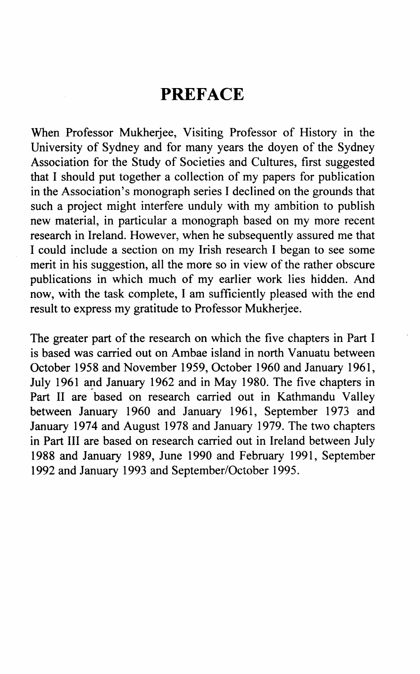### **PREFACE**

When Professor Mukherjee, Visiting Professor of History in the University of Sydney and for many years the doyen of the Sydney Association for the Study of Societies and Cultures, first suggested that I should put together a collection of my papers for publication in the Association's monograph series I declined on the grounds that such a project might interfere unduly with my ambition to publish new material, in particular a monograph based on my more recent research in Ireland. However, when he subsequently assured me that I could include a section on my Irish research I began to see some merit in his suggestion, all the more so in view of the rather obscure publications in which much of my earlier work lies hidden. And now, with the task complete, I am sufficiently pleased with the end result to express my gratitude to Professor Mukherjee.

The greater part of the research on which the five chapters in Part I is based was carried out on Ambae island in north Vanuatu between October 1958 and November 1959, October 1960 and January 1961, July 1961 and January 1962 and in May 1980. The five chapters in Part II are based on research carried out in Kathmandu Valley between January 1960 and January 1961, September 1973 and January 1974 and August 1978 and January 1979. The two chapters in Part III are based on research carried out in Ireland between July 1988 and January 1989, June 1990 and February 1991, September 1992 and January 1993 and September/October 1995.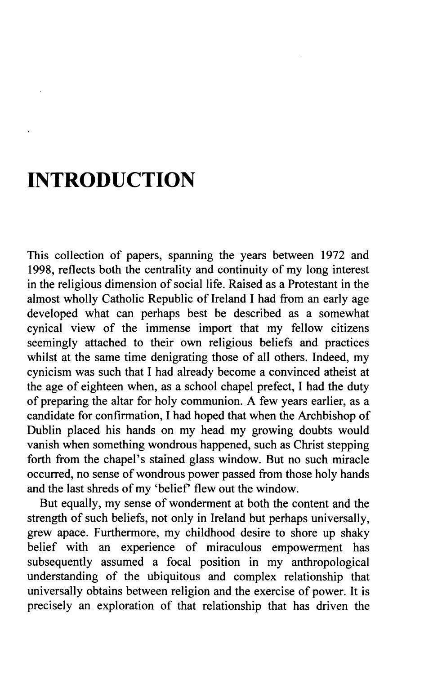# **INTRODUCTION**

This collection of papers, spanning the years between 1972 and 1998, reflects both the centrality and continuity of my long interest in the religious dimension of social life. Raised as a Protestant in the almost wholly Catholic Republic of Ireland I had from an early age developed what can perhaps best be described as a somewhat cynical view of the immense import that my fellow citizens seemingly attached to their own religious beliefs and practices whilst at the same time denigrating those of all others. Indeed, my cynicism was such that I had already become a convinced atheist at the age of eighteen when, as a school chapel prefect, I had the duty of preparing the altar for holy communion. A few years earlier, as a candidate for confirmation, I had hoped that when the Archbishop of Dublin placed his hands on my head my growing doubts would vanish when something wondrous happened, such as Christ stepping forth from the chapel's stained glass window. But no such miracle occurred, no sense of wondrous power passed from those holy hands and the last shreds of my 'belief' flew out the window.

But equally, my sense of wonderment at both the content and the strength of such beliefs, not only in Ireland but perhaps universally, grew apace. Furthermore, my childhood desire to shore up shaky belief with an experience of miraculous empowerment has subsequently assumed a focal position in my anthropological understanding of the ubiquitous and complex relationship that universally obtains between religion and the exercise of power. It is precisely an exploration of that relationship that has driven the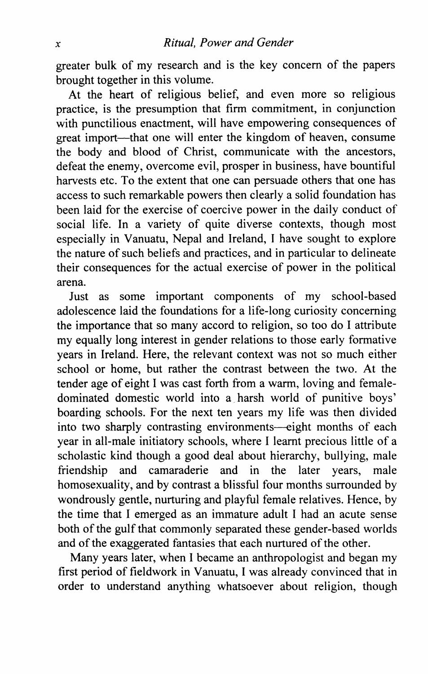greater bulk of my research and is the key concern of the papers brought together in this volume.

At the heart of religious belief, and even more so religious practice, is the presumption that firm commitment, in conjunction with punctilious enactment, will have empowering consequences of great import—that one will enter the kingdom of heaven, consume the body and blood of Christ, communicate with the ancestors, defeat the enemy, overcome evil, prosper in business, have bountiful harvests etc. To the extent that one can persuade others that one has access to such remarkable powers then clearly a solid foundation has been laid for the exercise of coercive power in the daily conduct of social life. In a variety of quite diverse contexts, though most especially in Vanuatu, Nepal and Ireland, I have sought to explore the nature of such beliefs and practices, and in particular to delineate their consequences for the actual exercise of power in the political arena.

Just as some important components of my school-based adolescence laid the foundations for a life-long curiosity concerning the importance that so many accord to religion, so too do I attribute my equally long interest in gender relations to those early formative years in Ireland. Here, the relevant context was not so much either school or home, but rather the contrast between the two. At the tender age of eight I was cast forth from a warm, loving and femaledominated domestic world into a harsh world of punitive boys' boarding schools. For the next ten years my life was then divided into two sharply contrasting environments--eight months of each year in all-male initiatory schools, where I learnt precious little of a scholastic kind though a good deal about hierarchy, bullying, male<br>friendship and camaraderie and in the later years, male and camaraderie and in the later years, male homosexuality, and by contrast a blissful four months surrounded by wondrously gentle, nurturing and playful female relatives. Hence, by the time that I emerged as an immature adult I had an acute sense both of the gulf that commonly separated these gender-based worlds and of the exaggerated fantasies that each nurtured of the other.

Many years later, when I became an anthropologist and began my first period of fieldwork in Vanuatu, I was already convinced that in order to understand anything whatsoever about religion, though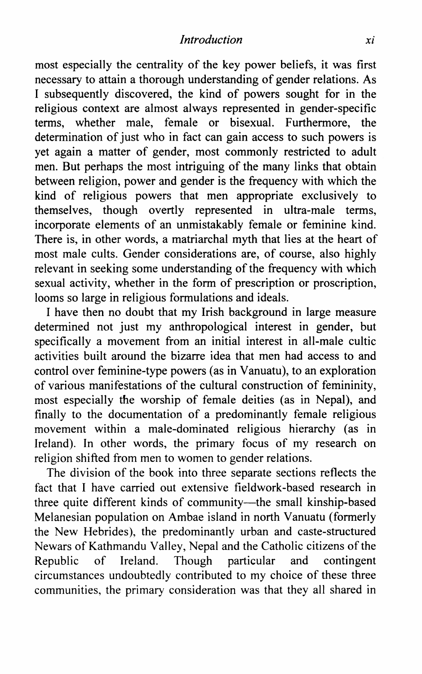most especially the centrality of the key power beliefs, it was first necessary to attain a thorough understanding of gender relations. As I subsequently discovered, the kind of powers sought for in the religious context are almost always represented in gender-specific terms, whether male, female or bisexual. Furthermore, the determination of just who in fact can gain access to such powers is yet again a matter of gender, most commonly restricted to adult men. But perhaps the most intriguing of the many links that obtain between religion, power and gender is the frequency with which the kind of religious powers that men appropriate exclusively to themselves, though overtly represented in ultra-male terms, incorporate elements of an unmistakably female or feminine kind. There is, in other words, a matriarchal myth that lies at the heart of most male cults. Gender considerations are, of course, also highly relevant in seeking some understanding of the frequency with which sexual activity, whether in the form of prescription or proscription, looms so large in religious formulations and ideals.

I have then no doubt that my Irish background in large measure determined not just my anthropological interest in gender, but specifically a movement from an initial interest in all-male cultic activities built around the bizarre idea that men had access to and control over feminine-type powers (as in Vanuatu), to an exploration of various manifestations of the cultural construction of femininity, most especially the worship of female deities (as in Nepal), and finally to the documentation of a predominantly female religious movement within a male-dominated religious hierarchy (as in Ireland). In other words, the primary focus of my research on religion shifted from men to women to gender relations.

The division of the book into three separate sections reflects the fact that I have carried out extensive fieldwork-based research in three quite different kinds of community-the small kinship-based Melanesian population on Ambae island in north Vanuatu (formerly the New Hebrides), the predominantly urban and caste-structured Newars of Kathmandu Valley, Nepal and the Catholic citizens of the Republic of Ireland. Though particular and contingent circumstances undoubtedly contributed to my choice of these three communities, the primary consideration was that they all shared in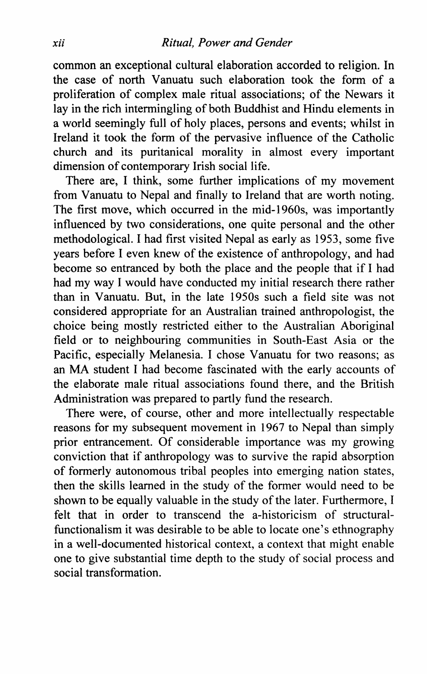common an exceptional cultural elaboration accorded to religion. In the case of north Vanuatu such elaboration took the form of a proliferation of complex male ritual associations; of the Newars it lay in the rich intermingling of both Buddhist and Hindu elements in a world seemingly full of holy places, persons and events; whilst in Ireland it took the form of the pervasive influence of the Catholic church and its puritanical morality in almost every important dimension of contemporary Irish social life.

There are, I think, some further implications of my movement from Vanuatu to Nepal and finally to Ireland that are worth noting. The first move, which occurred in the mid-1960s, was importantly influenced by two considerations, one quite personal and the other methodological. I had first visited Nepal as early as 1953, some five years before I even knew of the existence of anthropology, and had become so entranced by both the place and the people that if I had had my way I would have conducted my initial research there rather than in Vanuatu. But, in the late 1950s such a field site was not considered appropriate for an Australian trained anthropologist, the choice being mostly restricted either to the Australian Aboriginal field or to neighbouring communities in South-East Asia or the Pacific, especially Melanesia. I chose Vanuatu for two reasons; as an MA student I had become fascinated with the early accounts of the elaborate male ritual associations found there, and the British Administration was prepared to partly fund the research.

There were, of course, other and more intellectually respectable reasons for my subsequent movement in 1967 to Nepal than simply prior entrancement. Of considerable importance was my growing conviction that if anthropology was to survive the rapid absorption of formerly autonomous tribal peoples into emerging nation states, then the skills learned in the study of the former would need to be shown to be equally valuable in the study of the later. Furthermore, I felt that in order to transcend the a-historicism of structuralfunctionalism it was desirable to be able to locate one's ethnography in a well-documented historical context, a context that might enable one to give substantial time depth to the study of social process and social transformation.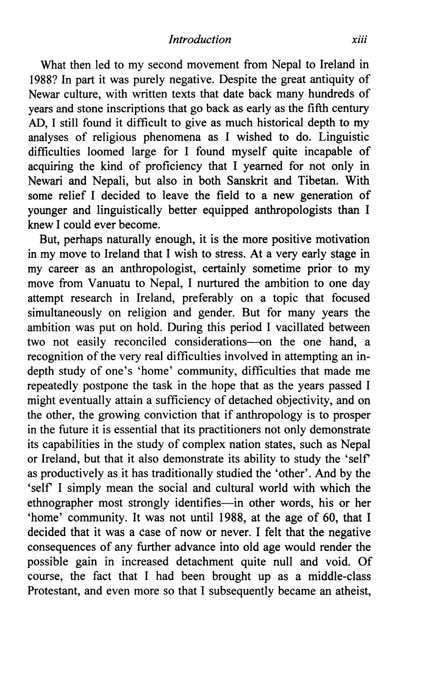What then led to my second movement from Nepal to Ireland in 1988? In part it was purely negative. Despite the great antiquity of Newar culture, with written texts that date back many hundreds of years and stone inscriptions that go back as early as the fifth century AD, I still found it difficult to give as much historical depth to my analyses of religious phenomena as I wished to do. Linguistic difficulties loomed large for I found myself quite incapable of acquiring the kind of proficiency that I yearned for not only in Newari and Nepali, but also in both Sanskrit and Tibetan. With some relief I decided to leave the field to a new generation of younger and linguistically better equipped anthropologists than I knew I could ever become.

But, perhaps naturally enough, it is the more positive motivation in my move to Ireland that I wish to stress. At a very early stage in my career as an anthropologist, certainly sometime prior to my move from Vanuatu to Nepal, I nurtured the ambition to one day attempt research in Ireland, preferably on a topic that focused simultaneously on religion and gender. But for many years the ambition was put on hold. During this period I vacillated between two not easily reconciled considerations-on the one hand, a recognition of the very real difficulties involved in attempting an indepth study of one's 'home' community, difficulties that made me repeatedly postpone the task in the hope that as the years passed I might eventually attain a sufficiency of detached objectivity, and on the other, the growing conviction that if anthropology is to prosper in the future it is essential that its practitioners not only demonstrate its capabilities in the study of complex nation states, such as Nepal or Ireland, but that it also demonstrate its ability to study the 'self as productively as it has traditionally studied the 'other'. And by the 'self I simply mean the social and cultural world with which the ethnographer most strongly identifies-in other words, his or her 'home' community. It was not until 1988, at the age of 60, that I decided that it was a case of now or never. I felt that the negative consequences of any further advance into old age would render the possible gain in increased detachment quite null and void. Of course, the fact that I had been brought up as a middle-class Protestant, and even more so that I subsequently became an atheist,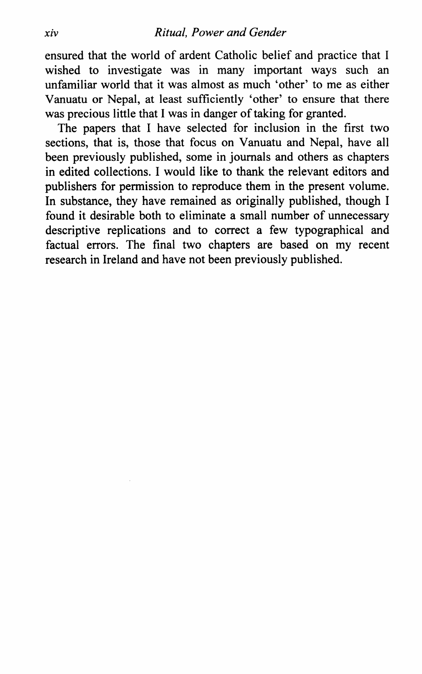ensured that the world of ardent Catholic belief and practice that I wished to investigate was in many important ways such an unfamiliar world that it was almost as much 'other' to me as either Vanuatu or Nepal, at least sufficiently 'other' to ensure that there was precious little that I was in danger of taking for granted.

The papers that I have selected for inclusion in the first two sections, that is, those that focus on Vanuatu and Nepal, have all been previously published, some in journals and others as chapters in edited collections. I would like to thank the relevant editors and publishers for permission to reproduce them in the present volume. In substance, they have remained as originally published, though I found it desirable both to eliminate a small number of unnecessary descriptive replications and to correct a few typographical and factual errors. The final two chapters are based on my recent research in Ireland and have not been previously published.